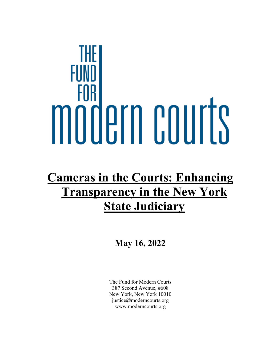# FOR mööern courts

## **Cameras in the Courts: Enhancing Transparency in the New York State Judiciary**

**May 16, 2022** 

The Fund for Modern Courts 387 Second Avenue, #608 New York, New York 10010 justice@moderncourts.org www.moderncourts.org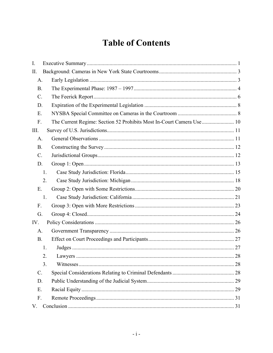### **Table of Contents**

| I.              |                                                                       |
|-----------------|-----------------------------------------------------------------------|
| II.             |                                                                       |
| A.              |                                                                       |
| <b>B.</b>       |                                                                       |
| $C$ .           |                                                                       |
| D.              |                                                                       |
| Ε.              |                                                                       |
| F.              | The Current Regime: Section 52 Prohibits Most In-Court Camera Use  10 |
| III.            |                                                                       |
| A.              |                                                                       |
| <b>B.</b>       |                                                                       |
| C.              |                                                                       |
| D.              |                                                                       |
| 1.              |                                                                       |
| 2.              |                                                                       |
| E.              |                                                                       |
| 1.              |                                                                       |
| F.              |                                                                       |
| G.              |                                                                       |
| IV.             |                                                                       |
| A.              |                                                                       |
| <b>B.</b>       |                                                                       |
| 1.              |                                                                       |
| 2.              |                                                                       |
| 3.              |                                                                       |
| $\mathcal{C}$ . |                                                                       |
| D.              |                                                                       |
| Ε.              |                                                                       |
| F.              |                                                                       |
| V.              |                                                                       |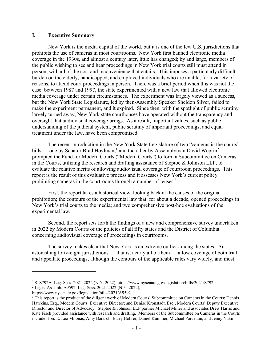#### **I. Executive Summary**

New York is the media capital of the world, but it is one of the few U.S. jurisdictions that prohibits the use of cameras in most courtrooms. New York first banned electronic media coverage in the 1930s, and almost a century later, little has changed; by and large, members of the public wishing to see and hear proceedings in New York trial courts still must attend in person, with all of the cost and inconvenience that entails. This imposes a particularly difficult burden on the elderly, handicapped, and employed individuals who are unable, for a variety of reasons, to attend court proceedings in person. There was a brief period when this was not the case: between 1987 and 1997, the state experimented with a new law that allowed electronic media coverage under certain circumstances. The experiment was largely viewed as a success, but the New York State Legislature, led by then-Assembly Speaker Sheldon Silver, failed to make the experiment permanent, and it expired. Since then, with the spotlight of public scrutiny largely turned away, New York state courthouses have operated without the transparency and oversight that audiovisual coverage brings. As a result, important values, such as public understanding of the judicial system, public scrutiny of important proceedings, and equal treatment under the law, have been compromised.

The recent introduction in the New York State Legislature of two "cameras in the courts" bills — one by Senator Brad Hoylman,<sup>1</sup> and the other by Assemblyman David Weprin<sup>2</sup> prompted the Fund for Modern Courts ("Modern Courts") to form a Subcommittee on Cameras in the Courts, utilizing the research and drafting assistance of Steptoe & Johnson LLP, to evaluate the relative merits of allowing audiovisual coverage of courtroom proceedings. This report is the result of this evaluative process and it assesses New York's current policy prohibiting cameras in the courtrooms through a number of lenses. $3$ 

First, the report takes a historical view, looking back at the causes of the original prohibition; the contours of the experimental law that, for about a decade, opened proceedings in New York's trial courts to the media; and two comprehensive post-hoc evaluations of the experimental law.

Second, the report sets forth the findings of a new and comprehensive survey undertaken in 2022 by Modern Courts of the policies of all fifty states and the District of Columbia concerning audiovisual coverage of proceedings in courtrooms.

The survey makes clear that New York is an extreme outlier among the states. An astonishing forty-eight jurisdictions — that is, nearly all of them — allow coverage of both trial and appellate proceedings, although the contours of the applicable rules vary widely, and most

<sup>&</sup>lt;sup>1</sup> S. S792A. Leg. Sess. 2021-2022 (N.Y. 2022), https://www.nysenate.gov/legislation/bills/2021/S792.<br><sup>2</sup> Legis, Assemb, A9592, Leg. Sess. 2021-2022 (N.Y. 2022).

Legis. Assemb. A9592. Leg. Sess. 2021-2022 (N.Y. 2022),

https://www.nysenate.gov/legislation/bills/2021/A9592. 3

<sup>&</sup>lt;sup>3</sup> This report is the product of the diligent work of Modern Courts' Subcommittee on Cameras in the Courts; Dennis Hawkins, Esq., Modern Courts' Executive Director; and Denise Kronstadt, Esq., Modern Courts' Deputy Executive Director and Director of Advocacy. Steptoe & Johnson LLP partner Michael Miller and associates Drew Harris and Kate Fisch provided assistance with research and drafting. Members of the Subcommittee on Cameras in the Courts include Hon. E. Leo Milonas, Amy Barasch, Barry Bohrer, Daniel Kummer, Michael Porcelain, and Jenny Yakir.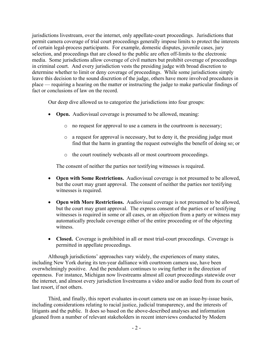jurisdictions livestream, over the internet, only appellate-court proceedings. Jurisdictions that permit camera coverage of trial court proceedings generally impose limits to protect the interests of certain legal-process participants. For example, domestic disputes, juvenile cases, jury selection, and proceedings that are closed to the public are often off-limits to the electronic media. Some jurisdictions allow coverage of civil matters but prohibit coverage of proceedings in criminal court. And every jurisdiction vests the presiding judge with broad discretion to determine whether to limit or deny coverage of proceedings. While some jurisdictions simply leave this decision to the sound discretion of the judge, others have more involved procedures in place — requiring a hearing on the matter or instructing the judge to make particular findings of fact or conclusions of law on the record.

Our deep dive allowed us to categorize the jurisdictions into four groups:

- **Open.** Audiovisual coverage is presumed to be allowed, meaning:
	- o no request for approval to use a camera in the courtroom is necessary;
	- o a request for approval is necessary, but to deny it, the presiding judge must find that the harm in granting the request outweighs the benefit of doing so; or
	- o the court routinely webcasts all or most courtroom proceedings.

The consent of neither the parties nor testifying witnesses is required.

- **Open with Some Restrictions.** Audiovisual coverage is not presumed to be allowed, but the court may grant approval. The consent of neither the parties nor testifying witnesses is required.
- **Open with More Restrictions.** Audiovisual coverage is not presumed to be allowed, but the court may grant approval. The express consent of the parties or of testifying witnesses is required in some or all cases, or an objection from a party or witness may automatically preclude coverage either of the entire proceeding or of the objecting witness.
- **Closed.** Coverage is prohibited in all or most trial-court proceedings. Coverage is permitted in appellate proceedings.

Although jurisdictions' approaches vary widely, the experiences of many states, including New York during its ten-year dalliance with courtroom camera use, have been overwhelmingly positive. And the pendulum continues to swing further in the direction of openness. For instance, Michigan now livestreams almost all court proceedings statewide over the internet, and almost every jurisdiction livestreams a video and/or audio feed from its court of last resort, if not others.

Third, and finally, this report evaluates in-court camera use on an issue-by-issue basis, including considerations relating to racial justice, judicial transparency, and the interests of litigants and the public. It does so based on the above-described analyses and information gleaned from a number of relevant stakeholders in recent interviews conducted by Modern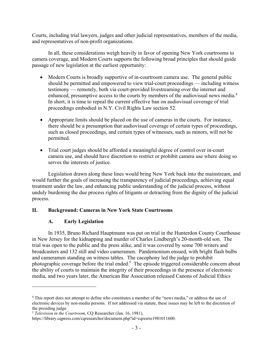Courts, including trial lawyers, judges and other judicial representatives, members of the media, and representatives of non-profit organizations.

In all, these considerations weigh heavily in favor of opening New York courtrooms to camera coverage, and Modern Courts supports the following broad principles that should guide passage of new legislation at the earliest opportunity:

- Modern Courts is broadly supportive of in-courtroom camera use. The general public should be permitted and empowered to view trial-court proceedings — including witness testimony — remotely, both via court-provided livestreaming over the internet and enhanced, presumptive access to the courts by members of the audiovisual news media.<sup>4</sup> In short, it is time to repeal the current effective ban on audiovisual coverage of trial proceedings embodied in N.Y. Civil Rights Law section 52.
- Appropriate limits should be placed on the use of cameras in the courts. For instance, there should be a presumption that audiovisual coverage of certain types of proceedings, such as closed proceedings, and certain types of witnesses, such as minors, will not be permitted.
- Trial court judges should be afforded a meaningful degree of control over in-court camera use, and should have discretion to restrict or prohibit camera use where doing so serves the interests of justice.

Legislation drawn along these lines would bring New York back into the mainstream, and would further the goals of increasing the transparency of judicial proceedings, achieving equal treatment under the law, and enhancing public understanding of the judicial process, without unduly burdening the due process rights of litigants or detracting from the dignity of the judicial process.

#### **II. Background: Cameras in New York State Courtrooms**

#### **A. Early Legislation**

 $\overline{a}$ 

In 1935, Bruno Richard Hauptmann was put on trial in the Hunterdon County Courthouse in New Jersey for the kidnapping and murder of Charles Lindbergh's 20-month-old son. The trial was open to the public and the press alike, and it was covered by some 700 writers and broadcasters and 132 still and video cameramen. Pandemonium ensued, with bright flash bulbs and cameramen standing on witness tables. The cacophony led the judge to prohibit photographic coverage before the trial ended.<sup>5</sup> The episode triggered considerable concern about the ability of courts to maintain the integrity of their proceedings in the presence of electronic media, and two years later, the American Bar Association released Canons of Judicial Ethics

<sup>&</sup>lt;sup>4</sup> This report does not attempt to define who constitutes a member of the "news media," or address the use of electronic devices by non-media persons. If not addressed via statute, these issues may be left to the discretion of the presiding judge.

<sup>5</sup> *Television in the Courtroom*, CQ Researcher (Jan. 16, 1981),

https://library.cqpress.com/cqresearcher/document.php?id=cqresrre1981011600.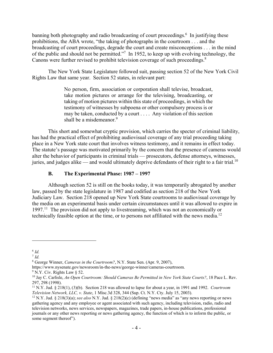banning both photography and radio broadcasting of court proceedings.<sup>6</sup> In justifying these prohibitions, the ABA wrote, "the taking of photographs in the courtroom . . . and the broadcasting of court proceedings, degrade the court and create misconceptions . . . in the mind of the public and should not be permitted."<sup>7</sup> In 1952, to keep up with evolving technology, the Canons were further revised to prohibit television coverage of such proceedings.<sup>8</sup>

The New York State Legislature followed suit, passing section 52 of the New York Civil Rights Law that same year. Section 52 states, in relevant part:

> No person, firm, association or corporation shall televise, broadcast, take motion pictures or arrange for the televising, broadcasting, or taking of motion pictures within this state of proceedings, in which the testimony of witnesses by subpoena or other compulsory process is or may be taken, conducted by a court . . . . Any violation of this section shall be a misdemeanor.<sup>9</sup>

This short and somewhat cryptic provision, which carries the specter of criminal liability, has had the practical effect of prohibiting audiovisual coverage of any trial proceeding taking place in a New York state court that involves witness testimony, and it remains in effect today. The statute's passage was motivated primarily by the concern that the presence of cameras would alter the behavior of participants in criminal trials — prosecutors, defense attorneys, witnesses, juries, and judges alike — and would ultimately deprive defendants of their right to a fair trial.<sup>10</sup>

#### **B. The Experimental Phase: 1987 – 1997**

Although section 52 is still on the books today, it was temporarily abrogated by another law, passed by the state legislature in 1987 and codified as section 218 of the New York Judiciary Law. Section 218 opened up New York State courtrooms to audiovisual coverage by the media on an experimental basis under certain circumstances until it was allowed to expire in 1997.<sup>11</sup> The provision did not apply to livestreaming, which was not an economically or technically feasible option at the time, or to persons not affiliated with the news media.12

1

 $6$   $Id.$ 

 $^7$  *Id.* 

<sup>8</sup> George Winner, *Cameras in the Courtroom?*, N.Y. State Sen. (Apr. 9, 2007),

https://www.nysenate.gov/newsroom/in-the-news/george-winner/cameras-courtroom.

<sup>9</sup> N.Y. Civ. Rights Law § 52.

<sup>10</sup> Jay C. Carlisle, *An Open Courtroom: Should Cameras Be Permitted in New York State Courts?*, 18 Pace L. Rev. 297, 298 (1998).

<sup>&</sup>lt;sup>11</sup> N.Y. Jud. § 218(1), (3)(b). Section 218 was allowed to lapse for about a year, in 1991 and 1992. *Courtroom Television Network, LLC, v. State, 1* Misc.3d 328, 344 (Sup. Ct. N.Y. Cty. July 15, 2003).

<sup>&</sup>lt;sup>12</sup> N.Y. Jud. § 218(3)(a); *see also* N.Y. Jud. § 218(2)(c) (defining "news media" as "any news reporting or news gathering agency and any employee or agent associated with such agency, including television, radio, radio and television networks, news services, newspapers, magazines, trade papers, in-house publications, professional journals or any other news reporting or news gathering agency, the function of which is to inform the public, or some segment thereof").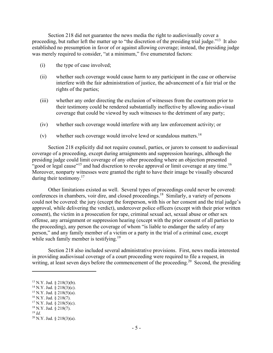Section 218 did not guarantee the news media the right to audiovisually cover a proceeding, but rather left the matter up to "the discretion of the presiding trial judge."<sup>13</sup> It also established no presumption in favor of or against allowing coverage; instead, the presiding judge was merely required to consider, "at a minimum," five enumerated factors:

- (i) the type of case involved;
- (ii) whether such coverage would cause harm to any participant in the case or otherwise interfere with the fair administration of justice, the advancement of a fair trial or the rights of the parties;
- (iii) whether any order directing the exclusion of witnesses from the courtroom prior to their testimony could be rendered substantially ineffective by allowing audio-visual coverage that could be viewed by such witnesses to the detriment of any party;
- (iv) whether such coverage would interfere with any law enforcement activity; or
- (v) whether such coverage would involve lewd or scandalous matters.<sup>14</sup>

Section 218 explicitly did not require counsel, parties, or jurors to consent to audiovisual coverage of a proceeding, except during arraignments and suppression hearings, although the presiding judge could limit coverage of any other proceeding where an objection presented "good or legal cause"<sup>15</sup> and had discretion to revoke approval or limit coverage at any time.<sup>16</sup> Moreover, nonparty witnesses were granted the right to have their image be visually obscured during their testimony. $17$ 

Other limitations existed as well. Several types of proceedings could never be covered: conferences in chambers, voir dire, and closed proceedings.18 Similarly, a variety of persons could not be covered: the jury (except the foreperson, with his or her consent and the trial judge's approval, while delivering the verdict), undercover police officers (except with their prior written consent), the victim in a prosecution for rape, criminal sexual act, sexual abuse or other sex offense, any arraignment or suppression hearing (except with the prior consent of all parties to the proceeding), any person the coverage of whom "is liable to endanger the safety of any person," and any family member of a victim or a party in the trial of a criminal case, except while such family member is testifying.<sup>19</sup>

Section 218 also included several administrative provisions. First, news media interested in providing audiovisual coverage of a court proceeding were required to file a request, in writing, at least seven days before the commencement of the proceeding.<sup>20</sup> Second, the presiding

- <sup>15</sup> N.Y. Jud.  $\frac{8}{9}$  218(5)(a).
- $16$  N.Y. Jud. § 218(7).

<sup>13</sup> N.Y. Jud. § 218(3)(b).

<sup>&</sup>lt;sup>14</sup> N.Y. Jud. § 218(3)(c).

 $17$  N.Y. Jud. § 218(5)(c). 18 N.Y. Jud. § 218(7).

 $19$  *Id.* 

 $20$  N.Y. Jud. § 218(3)(a).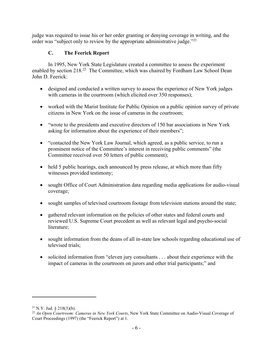judge was required to issue his or her order granting or denying coverage in writing, and the order was "subject only to review by the appropriate administrative judge."<sup>21</sup>

#### **C. The Feerick Report**

In 1995, New York State Legislature created a committee to assess the experiment enabled by section 218.<sup>22</sup> The Committee, which was chaired by Fordham Law School Dean John D. Feerick:

- designed and conducted a written survey to assess the experience of New York judges with cameras in the courtroom (which elicited over 350 responses);
- worked with the Marist Institute for Public Opinion on a public opinion survey of private citizens in New York on the issue of cameras in the courtroom;
- "wrote to the presidents and executive directors of 150 bar associations in New York asking for information about the experience of their members";
- "contacted the New York Law Journal, which agreed, as a public service, to run a prominent notice of the Committee's interest in receiving public comments" (the Committee received over 50 letters of public comment);
- held 5 public hearings, each announced by press release, at which more than fifty witnesses provided testimony;
- sought Office of Court Administration data regarding media applications for audio-visual coverage;
- sought samples of televised courtroom footage from television stations around the state;
- gathered relevant information on the policies of other states and federal courts and reviewed U.S. Supreme Court precedent as well as relevant legal and psycho-social literature;
- sought information from the deans of all in-state law schools regarding educational use of televised trials;
- solicited information from "eleven jury consultants . . . about their experience with the impact of cameras in the courtroom on jurors and other trial participants;" and

1

 $21$  N.Y. Jud. § 218(3)(b).

<sup>22</sup> *An Open Courtroom: Cameras in New York Courts*, New York State Committee on Audio-Visual Coverage of Court Proceedings (1997) (the "Feerick Report") at 1.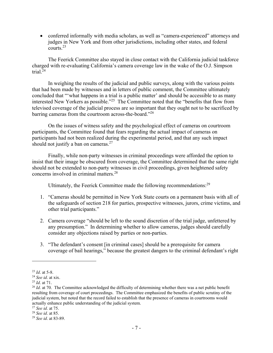• conferred informally with media scholars, as well as "camera-experienced" attorneys and judges in New York and from other jurisdictions, including other states, and federal courts.23

The Feerick Committee also stayed in close contact with the California judicial taskforce charged with re-evaluating California's camera coverage law in the wake of the O.J. Simpson trial.24

In weighing the results of the judicial and public surveys, along with the various points that had been made by witnesses and in letters of public comment, the Committee ultimately concluded that "'what happens in a trial is a public matter' and should be accessible to as many interested New Yorkers as possible."25 The Committee noted that the "benefits that flow from televised coverage of the judicial process are so important that they ought not to be sacrificed by barring cameras from the courtroom across-the-board."26

On the issues of witness safety and the psychological effect of cameras on courtroom participants, the Committee found that fears regarding the actual impact of cameras on participants had not been realized during the experimental period, and that any such impact should not justify a ban on cameras. $27$ 

Finally, while non-party witnesses in criminal proceedings were afforded the option to insist that their image be obscured from coverage, the Committee determined that the same right should not be extended to non-party witnesses in civil proceedings, given heightened safety concerns involved in criminal matters.28

Ultimately, the Feerick Committee made the following recommendations:<sup>29</sup>

- 1. "Cameras should be permitted in New York State courts on a permanent basis with all of the safeguards of section 218 for parties, prospective witnesses, jurors, crime victims, and other trial participants."
- 2. Camera coverage "should be left to the sound discretion of the trial judge, unfettered by any presumption." In determining whether to allow cameras, judges should carefully consider any objections raised by parties or non-parties.
- 3. "The defendant's consent [in criminal cases] should be a prerequisite for camera coverage of bail hearings," because the greatest dangers to the criminal defendant's right

<sup>&</sup>lt;sup>23</sup> *Id.* at 5-8.<br><sup>24</sup> See *id.* at xix.<br><sup>25</sup> *Id.* at 71.<br><sup>26</sup> *Id.* at 70. The Committee acknowledged the difficulty of determining whether there was a net public benefit resulting from coverage of court proceedings. The Committee emphasized the benefits of public scrutiny of the judicial system, but noted that the record failed to establish that the presence of cameras in courtrooms would actually enhance public understanding of the judicial system.

<sup>27</sup> *See id*. at 75. 28 *See id*. at 85. 29 *See id*. at 83-89.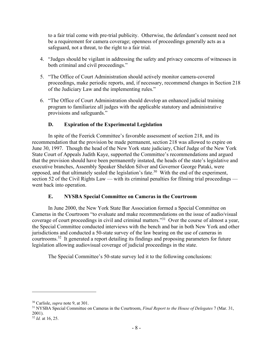to a fair trial come with pre-trial publicity. Otherwise, the defendant's consent need not be a requirement for camera coverage; openness of proceedings generally acts as a safeguard, not a threat, to the right to a fair trial.

- 4. "Judges should be vigilant in addressing the safety and privacy concerns of witnesses in both criminal and civil proceedings."
- 5. "The Office of Court Administration should actively monitor camera-covered proceedings, make periodic reports, and, if necessary, recommend changes in Section 218 of the Judiciary Law and the implementing rules."
- 6. "The Office of Court Administration should develop an enhanced judicial training program to familiarize all judges with the applicable statutory and administrative provisions and safeguards."

#### **D. Expiration of the Experimental Legislation**

In spite of the Feerick Committee's favorable assessment of section 218, and its recommendation that the provision be made permanent, section 218 was allowed to expire on June 30, 1997. Though the head of the New York state judiciary, Chief Judge of the New York State Court of Appeals Judith Kaye, supported the Committee's recommendations and argued that the provision should have been permanently instated, the heads of the state's legislative and executive branches, Assembly Speaker Sheldon Silver and Governor George Pataki, were opposed, and that ultimately sealed the legislation's fate.30 With the end of the experiment, section 52 of the Civil Rights Law — with its criminal penalties for filming trial proceedings went back into operation.

#### **E. NYSBA Special Committee on Cameras in the Courtroom**

In June 2000, the New York State Bar Association formed a Special Committee on Cameras in the Courtroom "to evaluate and make recommendations on the issue of audio/visual coverage of court proceedings in civil and criminal matters."31 Over the course of almost a year, the Special Committee conducted interviews with the bench and bar in both New York and other jurisdictions and conducted a 50-state survey of the law bearing on the use of cameras in courtrooms.<sup>32</sup> It generated a report detailing its findings and proposing parameters for future legislation allowing audiovisual coverage of judicial proceedings in the state.

The Special Committee's 50-state survey led it to the following conclusions:

1

<sup>30</sup> Carlisle, *supra* note 9, at 301. 31 NYSBA Special Committee on Cameras in the Courtroom, *Final Report to the House of Delegates* 7 (Mar. 31, 2001).

<sup>32</sup> *Id.* at 16, 25.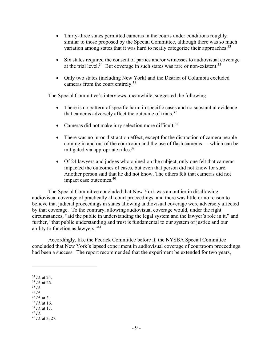- Thirty-three states permitted cameras in the courts under conditions roughly similar to those proposed by the Special Committee, although there was so much variation among states that it was hard to neatly categorize their approaches.<sup>33</sup>
- Six states required the consent of parties and/or witnesses to audiovisual coverage at the trial level.<sup>34</sup> But coverage in such states was rare or non-existent.<sup>35</sup>
- Only two states (including New York) and the District of Columbia excluded cameras from the court entirely.36

The Special Committee's interviews, meanwhile, suggested the following:

- There is no pattern of specific harm in specific cases and no substantial evidence that cameras adversely affect the outcome of trials.<sup>37</sup>
- Cameras did not make jury selection more difficult.<sup>38</sup>
- There was no juror-distraction effect, except for the distraction of camera people coming in and out of the courtroom and the use of flash cameras — which can be mitigated via appropriate rules.<sup>39</sup>
- Of 24 lawyers and judges who opined on the subject, only one felt that cameras impacted the outcomes of cases, but even that person did not know for sure. Another person said that he did not know. The others felt that cameras did not impact case outcomes.40

The Special Committee concluded that New York was an outlier in disallowing audiovisual coverage of practically all court proceedings, and there was little or no reason to believe that judicial proceedings in states allowing audiovisual coverage were adversely affected by that coverage. To the contrary, allowing audiovisual coverage would, under the right circumstances, "aid the public in understanding the legal system and the lawyer's role in it," and further, "that public understanding and trust is fundamental to our system of justice and our ability to function as lawyers."41

Accordingly, like the Feerick Committee before it, the NYSBA Special Committee concluded that New York's lapsed experiment in audiovisual coverage of courtroom proceedings had been a success. The report recommended that the experiment be extended for two years,

- $^{36}$  *Id.*  $^{37}$  *Id.* at 3.
- 
- <sup>37</sup> *Id.* at 3. 38 *Id.* at 16. 39 *Id.* at 17. 40 *Id.*
- 

<sup>33</sup> *Id.* at 25. 34 *Id.* at 26. 35 *Id.*

<sup>41</sup> *Id.* at 3, 27.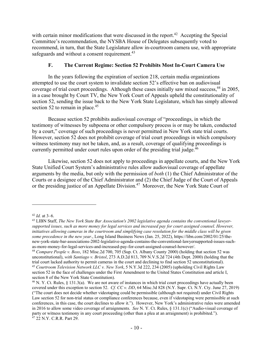with certain minor modifications that were discussed in the report.<sup>42</sup> Accepting the Special Committee's recommendation, the NYSBA House of Delegates subsequently voted to recommend, in turn, that the State Legislature allow in-courtroom camera use, with appropriate safeguards and without a consent requirement.<sup>43</sup>

#### **F. The Current Regime: Section 52 Prohibits Most In-Court Camera Use**

In the years following the expiration of section 218, certain media organizations attempted to use the court system to invalidate section 52's effective ban on audiovisual coverage of trial court proceedings. Although these cases initially saw mixed success, <sup>44</sup> in 2005, in a case brought by Court TV, the New York Court of Appeals upheld the constitutionality of section 52, sending the issue back to the New York State Legislature, which has simply allowed section 52 to remain in place. $45$ 

Because section 52 prohibits audiovisual coverage of "proceedings, in which the testimony of witnesses by subpoena or other compulsory process is or may be taken, conducted by a court," coverage of such proceedings is never permitted in New York state trial courts. However, section 52 does not prohibit coverage of trial court proceedings in which compulsory witness testimony may not be taken, and, as a result, coverage of qualifying proceedings is currently permitted under court rules upon order of the presiding trial judge.<sup>46</sup>

Likewise, section 52 does not apply to proceedings in appellate courts, and the New York State Unified Court System's administrative rules allow audiovisual coverage of appellate arguments by the media, but only with the permission of *both* (1) the Chief Administrator of the Courts or a designee of the Chief Administrator and (2) the Chief Judge of the Court of Appeals or the presiding justice of an Appellate Division.<sup>47</sup> Moreover, the New York State Court of

<sup>&</sup>lt;sup>42</sup> *Id.* at 3–6.<br><sup>43</sup> LIBN Staff, *The New York State Bar Association's 2002 legislative agenda contains the conventional lawyersupported issues, such as more money for legal services and increased pay for court assigned counsel. However, initiatives allowing cameras in the courtroom and simplifying case resolution for the middle class will be given some precedence in the new year.*, Long Island Business News (Jan. 25, 2022), https://libn.com/2002/01/25/thenew-york-state-bar-associations-2002-legislative-agenda-contains-the-conventional-lawyersupported-issues-suchas-more-money-for-legal-services-and-increased-pay-for-court-assigned-counsel-however/.

<sup>44</sup> *Compare People v. Boss*, 182 Misc.2d 700, 705 (Sup. Ct. Albany County 2000) (holding that section 52 was unconstitutional), *with Santiago v. Bristol*, 273 A.D.2d 813, 709 N.V.S.2d 724 (4th Dept. 2000) (holding that the trial court lacked authority to permit cameras in the court and declining to find section 52 unconstitutional).

<sup>45</sup> *Courtroom Television Network LLC v. New York*, 5 N.Y.3d 222, 234 (2005) (upholding Civil Rights Law section 52 in the face of challenges under the First Amendment to the United States Constitution and article I, section 8 of the New York State Constitution).

<sup>&</sup>lt;sup>46</sup> N. Y. Ct. Rules, § 131.3(a). We are not aware of instances in which trial court proceedings have actually been covered under this exception to section 52. *Cf. CC v. DD*, 64 Misc.3d 828 (N.Y. Supr. Ct. N.Y. Cty. June 27, 2019) ("The court does not decide whether videotaping could be permissible (although not required) under Civil Rights Law section 52 for non-trial status or compliance conferences because, even if videotaping were permissible at such conferences, in this case, the court declines to allow it."). However, New York's administrative rules were amended in 2016 to allow some video coverage of arraignments. *See* N. Y. Ct. Rules, § 131.1(c) ("Audio-visual coverage of party or witness testimony in any court proceeding (other than a plea at an arraignment) is prohibited."). 47 22 N.Y. C.R.R. Part 29.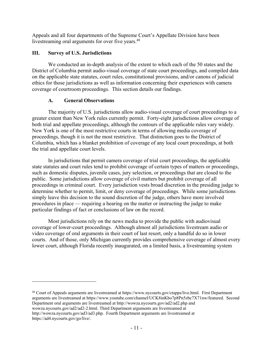Appeals and all four departments of the Supreme Court's Appellate Division have been livestreaming oral arguments for over five years.<sup>48</sup>

#### **III. Survey of U.S. Jurisdictions**

We conducted an in-depth analysis of the extent to which each of the 50 states and the District of Columbia permit audio-visual coverage of state court proceedings, and compiled data on the applicable state statutes, court rules, constitutional provisions, and/or canons of judicial ethics for those jurisdictions as well as information concerning their experiences with camera coverage of courtroom proceedings. This section details our findings.

#### **A. General Observations**

 $\overline{a}$ 

The majority of U.S. jurisdictions allow audio-visual coverage of court proceedings to a greater extent than New York rules currently permit. Forty-eight jurisdictions allow coverage of both trial and appellate proceedings, although the contours of the applicable rules vary widely. New York is one of the most restrictive courts in terms of allowing media coverage of proceedings, though it is not the most restrictive. That distinction goes to the District of Columbia, which has a blanket prohibition of coverage of any local court proceedings, at both the trial and appellate court levels.

In jurisdictions that permit camera coverage of trial court proceedings, the applicable state statutes and court rules tend to prohibit coverage of certain types of matters or proceedings, such as domestic disputes, juvenile cases, jury selection, or proceedings that are closed to the public. Some jurisdictions allow coverage of civil matters but prohibit coverage of all proceedings in criminal court. Every jurisdiction vests broad discretion in the presiding judge to determine whether to permit, limit, or deny coverage of proceedings. While some jurisdictions simply leave this decision to the sound discretion of the judge, others have more involved procedures in place — requiring a hearing on the matter or instructing the judge to make particular findings of fact or conclusions of law on the record.

Most jurisdictions rely on the news media to provide the public with audiovisual coverage of lower-court proceedings. Although almost all jurisdictions livestream audio or video coverage of oral arguments in their court of last resort, only a handful do so in lower courts. And of those, only Michigan currently provides comprehensive coverage of almost every lower court, although Florida recently inaugurated, on a limited basis, a livestreaming system

48 Court of Appeals arguments are livestreamed at https://www.nycourts.gov/ctapps/live.html. First Department arguments are livestreamed at https://www.youtube.com/channel/UCK8inKbo7p8Pn5zbc7X71nw/featured. Second Department oral arguments are livestreamed at http://wowza.nycourts.gov/ad2/ad2.php and wowza.nycourts.gov/ad2/ad2-2.html. Third Department arguments are livestreamed at http://wowza.nycourts.gov/ad3/ad3.php. Fourth Department arguments are livestreamed at https://ad4.nycourts.gov/go/live/.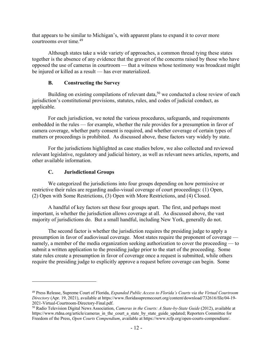that appears to be similar to Michigan's, with apparent plans to expand it to cover more courtrooms over time.<sup>49</sup>

Although states take a wide variety of approaches, a common thread tying these states together is the absence of any evidence that the gravest of the concerns raised by those who have opposed the use of cameras in courtroom — that a witness whose testimony was broadcast might be injured or killed as a result — has ever materialized.

#### **B. Constructing the Survey**

Building on existing compilations of relevant data,<sup>50</sup> we conducted a close review of each jurisdiction's constitutional provisions, statutes, rules, and codes of judicial conduct, as applicable.

For each jurisdiction, we noted the various procedures, safeguards, and requirements embedded in the rules — for example, whether the rule provides for a presumption in favor of camera coverage, whether party consent is required, and whether coverage of certain types of matters or proceedings is prohibited. As discussed above, these factors vary widely by state.

For the jurisdictions highlighted as case studies below, we also collected and reviewed relevant legislative, regulatory and judicial history, as well as relevant news articles, reports, and other available information.

#### **C. Jurisdictional Groups**

 $\overline{a}$ 

We categorized the jurisdictions into four groups depending on how permissive or restrictive their rules are regarding audio-visual coverage of court proceedings: (1) Open, (2) Open with Some Restrictions, (3) Open with More Restrictions, and (4) Closed.

A handful of key factors set these four groups apart. The first, and perhaps most important, is whether the jurisdiction allows coverage at all. As discussed above, the vast majority of jurisdictions do. But a small handful, including New York, generally do not.

The second factor is whether the jurisdiction requires the presiding judge to apply a presumption in favor of audiovisual coverage. Most states require the proponent of coverage namely, a member of the media organization seeking authorization to cover the proceeding — to submit a written application to the presiding judge prior to the start of the proceeding. Some state rules create a presumption in favor of coverage once a request is submitted, while others require the presiding judge to explicitly approve a request before coverage can begin. Some

<sup>49</sup> Press Release, Supreme Court of Florida, *Expanded Public Access to Florida's Courts via the Virtual Courtroom Directory* (Apr. 19, 2021), available at https://www.floridasupremecourt.org/content/download/732616/file/04-19- 2021-Virtual-Courtroom-Directory-Final.pdf.

<sup>50</sup> Radio Television Digital News Association, *Cameras in the Courts: A State-by-State Guide* (2012), available at https://www.rtdna.org/article/cameras\_in\_the\_court\_a\_state\_by\_state\_guide\_updated; Reporters Committee for Freedom of the Press, *Open Courts Compendium*, available at https://www.rcfp.org/open-courts-compendium/.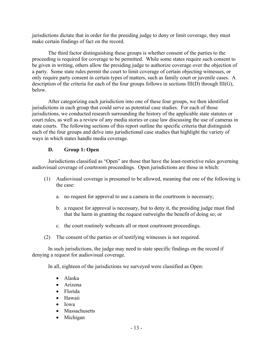jurisdictions dictate that in order for the presiding judge to deny or limit coverage, they must make certain findings of fact on the record.

The third factor distinguishing these groups is whether consent of the parties to the proceeding is required for coverage to be permitted. While some states require such consent to be given in writing, others allow the presiding judge to authorize coverage over the objection of a party. Some state rules permit the court to limit coverage of certain objecting witnesses, or only require party consent in certain types of matters, such as family court or juvenile cases. A description of the criteria for each of the four groups follows in sections III(D) through III(G), below.

After categorizing each jurisdiction into one of these four groups, we then identified jurisdictions in each group that could serve as potential case studies. For each of those jurisdictions, we conducted research surrounding the history of the applicable state statutes or court rules, as well as a review of any media stories or case law discussing the use of cameras in state courts. The following sections of this report outline the specific criteria that distinguish each of the four groups and delve into jurisdictional case studies that highlight the variety of ways in which states handle media coverage.

#### **D. Group 1: Open**

Jurisdictions classified as "Open" are those that have the least-restrictive rules governing audiovisual coverage of courtroom proceedings. Open jurisdictions are those in which:

- (1) Audiovisual coverage is presumed to be allowed, meaning that one of the following is the case:
	- a. no request for approval to use a camera in the courtroom is necessary;
	- b. a request for approval is necessary, but to deny it, the presiding judge must find that the harm in granting the request outweighs the benefit of doing so; or
	- c. the court routinely webcasts all or most courtroom proceedings.
- (2) The consent of the parties or of testifying witnesses is not required.

In such jurisdictions, the judge may need to state specific findings on the record if denying a request for audiovisual coverage.

In all, eighteen of the jurisdictions we surveyed were classified as Open:

- Alaska
- Arizona
- Florida
- Hawaii
- $\bullet$  Iowa
- Massachusetts
- Michigan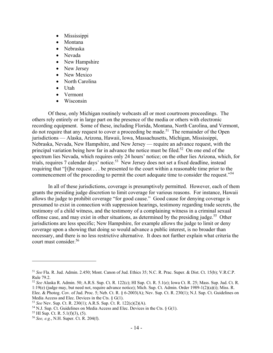- Mississippi
- Montana
- Nebraska
- Nevada
- New Hampshire
- New Jersey
- New Mexico
- North Carolina
- Utah
- Vermont
- Wisconsin

Of these, only Michigan routinely webcasts all or most courtroom proceedings. The others rely entirely or in large part on the presence of the media or others with electronic recording equipment. Some of these, including Florida, Montana, North Carolina, and Vermont, do not require that any request to cover a proceeding be made.<sup>51</sup> The remainder of the Open jurisdictions — Alaska, Arizona, Hawaii, Iowa, Massachusetts, Michigan, Mississippi, Nebraska, Nevada, New Hampshire, and New Jersey — require an advance request, with the principal variation being how far in advance the notice must be filed.<sup>52</sup> On one end of the spectrum lies Nevada, which requires only 24 hours' notice; on the other lies Arizona, which, for trials, requires 7 calendar days' notice.53 New Jersey does not set a fixed deadline, instead requiring that "[t]he request . . . be presented to the court within a reasonable time prior to the commencement of the proceeding to permit the court adequate time to consider the request."<sup>54</sup>

In all of these jurisdictions, coverage is presumptively permitted. However, each of them grants the presiding judge discretion to limit coverage for various reasons. For instance, Hawaii allows the judge to prohibit coverage "for good cause." Good cause for denying coverage is presumed to exist in connection with suppression hearings, testimony regarding trade secrets, the testimony of a child witness, and the testimony of a complaining witness in a criminal sexual offense case, and may exist in other situations, as determined by the presiding judge.<sup>55</sup> Other jurisdictions are less specific; New Hampshire, for example allows the judge to limit or deny coverage upon a showing that doing so would advance a public interest, is no broader than necessary, and there is no less restrictive alternative. It does not further explain what criteria the court must consider.56

<sup>51</sup> *See* Fla. R. Jud. Admin. 2.450; Mont. Canon of Jud. Ethics 35; N.C. R. Prac. Super. & Dist. Ct. 15(b); V.R.C.P. Rule 79.2.

<sup>52</sup> *See* Alaska R. Admin. 50; A.R.S. Sup. Ct. R. 122(c); HI Sup. Ct. R. 5.1(e); Iowa Ct. R. 25; Mass. Sup. Jud. Ct. R. 1:19(e) (judge may, but need not, require advance notice); Mich. Sup. Ct. Admin. Order 1989-1(2)(a)(i); Miss. R.

Elec. & Photog. Cov. of Jud. Proc. 5; Neb. Ct. R. § 6-2003(A); Nev. Sup. Ct. R. 230(1); N.J. Sup. Ct. Guidelines on Media Access and Elec. Devices in the Cts. § G(1).<br><sup>53</sup> See Nev. Sup. Ct. R. 230(1); A.R.S. Sup. Ct. R. 122(c)(2)(A).

<sup>&</sup>lt;sup>54</sup> N.J. Sup. Ct. Guidelines on Media Access and Elec. Devices in the Cts. § G(1). <sup>55</sup> HI Sup. Ct. R. 5.1(f)(3), (5).

<sup>56</sup> *See, e.g.*, N.H. Super. Ct. R. 204(f).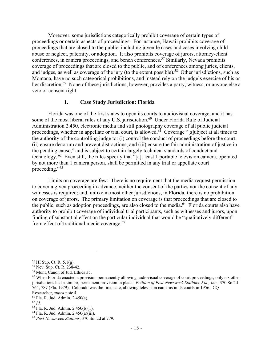Moreover, some jurisdictions categorically prohibit coverage of certain types of proceedings or certain aspects of proceedings. For instance, Hawaii prohibits coverage of proceedings that are closed to the public, including juvenile cases and cases involving child abuse or neglect, paternity, or adoption. It also prohibits coverage of jurors, attorney-client conferences, in camera proceedings, and bench conferences.<sup>57</sup> Similarly, Nevada prohibits coverage of proceedings that are closed to the public, and of conferences among juries, clients, and judges, as well as coverage of the jury (to the extent possible).<sup>58</sup> Other jurisdictions, such as Montana, have no such categorical prohibitions, and instead rely on the judge's exercise of his or her discretion.<sup>59</sup> None of these jurisdictions, however, provides a party, witness, or anyone else a veto or consent right.

#### **1. Case Study Jurisdiction: Florida**

Florida was one of the first states to open its courts to audiovisual coverage, and it has some of the most liberal rules of any U.S. jurisdiction.<sup>60</sup> Under Florida Rule of Judicial Administration 2.450, electronic media and still photography coverage of all public judicial proceedings, whether in appellate or trial court, is allowed.<sup>61</sup> Coverage "[s]ubject at all times to the authority of the controlling judge to: (i) control the conduct of proceedings before the court; (ii) ensure decorum and prevent distractions; and (iii) ensure the fair administration of justice in the pending cause," and is subject to certain largely technical standards of conduct and technology. 62 Even still, the rules specify that "[a]t least 1 portable television camera, operated by not more than 1 camera person, shall be permitted in any trial or appellate court proceeding."<sup>63</sup>

Limits on coverage are few: There is no requirement that the media request permission to cover a given proceeding in advance; neither the consent of the parties nor the consent of any witnesses is required; and, unlike in most other jurisdictions, in Florida, there is no prohibition on coverage of jurors. The primary limitation on coverage is that proceedings that are closed to the public, such as adoption proceedings, are also closed to the media.64 Florida courts also have authority to prohibit coverage of individual trial participants, such as witnesses and jurors, upon finding of substantial effect on the particular individual that would be "qualitatively different" from effect of traditional media coverage.<sup>65</sup>

<sup>57</sup> HI Sup. Ct. R. 5.1(g).

<sup>58</sup> Nev. Sup. Ct. R. 238-42.

<sup>59</sup> Mont. Canon of Jud. Ethics 35.

<sup>&</sup>lt;sup>60</sup> When Florida enacted a provision permanently allowing audiovisual coverage of court proceedings, only six other jurisdictions had a similar, permanent provision in place. *Petition of Post-Newsweek Stations, Fla., Inc.*, 370 So.2d 764, 787 (Fla. 1979). Colorado was the first state, allowing television cameras in its courts in 1956. CQ

Researcher, *supra* note 4.<br><sup>61</sup> Fla. R. Jud. Admin. 2.450(a).

<sup>62</sup> *Id.*

<sup>63</sup> Fla. R. Jud. Admin. 2.450(b)(1).

 $64$  Fla. R. Jud. Admin. 2.450(a)(iii).

<sup>65</sup> *Post-Newsweek Stations*, 370 So. 2d at 779.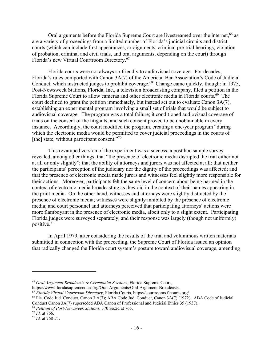Oral arguments before the Florida Supreme Court are livestreamed over the internet,<sup>66</sup> as are a variety of proceedings from a limited number of Florida's judicial circuits and district courts (which can include first appearances, arraignments, criminal pre-trial hearings, violation of probation, criminal and civil trials, and oral arguments, depending on the court) through Florida's new Virtual Courtroom Directory.67

Florida courts were not always so friendly to audiovisual coverage. For decades, Florida's rules comported with Canon 3A(7) of the American Bar Association's Code of Judicial Conduct, which instructed judges to prohibit coverage.<sup>68</sup> Change came quickly, though: in 1975, Post-Newsweek Stations, Florida, Inc., a television broadcasting company, filed a petition in the Florida Supreme Court to allow cameras and other electronic media in Florida courts.<sup>69</sup> The court declined to grant the petition immediately, but instead set out to evaluate Canon 3A(7), establishing an experimental program involving a small set of trials that would be subject to audiovisual coverage. The program was a total failure; it conditioned audiovisual coverage of trials on the consent of the litigants, and such consent proved to be unobtainable in every instance. Accordingly, the court modified the program, creating a one-year program "during which the electronic media would be permitted to cover judicial proceedings in the courts of [the] state, without participant consent." $70$ 

This revamped version of the experiment was a success; a post hoc sample survey revealed, among other things, that "the presence of electronic media disrupted the trial either not at all or only slightly"; that the ability of attorneys and jurors was not affected at all; that neither the participants' perception of the judiciary nor the dignity of the proceedings was affected; and that the presence of electronic media made jurors and witnesses feel slightly more responsible for their actions. Moreover, participants felt the same level of concern about being harmed in the context of electronic media broadcasting as they did in the context of their names appearing in the print media. On the other hand, witnesses and attorneys were slightly distracted by the presence of electronic media; witnesses were slightly inhibited by the presence of electronic media; and court personnel and attorneys perceived that participating attorneys' actions were more flamboyant in the presence of electronic media, albeit only to a slight extent. Participating Florida judges were surveyed separately, and their response was largely (though not uniformly) positive.71

In April 1979, after considering the results of the trial and voluminous written materials submitted in connection with the proceeding, the Supreme Court of Florida issued an opinion that radically changed the Florida court system's posture toward audiovisual coverage, amending

1

<sup>66</sup> *Oral Argument Broadcasts & Ceremonial Sessions*, Florida Supreme Court,

<sup>&</sup>lt;sup>67</sup> Florida Virtual Courtroom Directory, Florida Courts, https://courtrooms.flcourts.org/.<br><sup>68</sup> Fla. Code Jud. Conduct, Canon 3 A(7); ABA Code Jud. Conduct, Canon 3A(7) (1972). ABA Code of Judicial Conduct Canon 3A(7) superseded ABA Canon of Professional and Judicial Ethics 35 (1937).

<sup>69</sup> *Petition of Post-Newsweek Stations*, 370 So.2d at 765. 70 *Id.* at 766. 71 *Id.* at 768-71.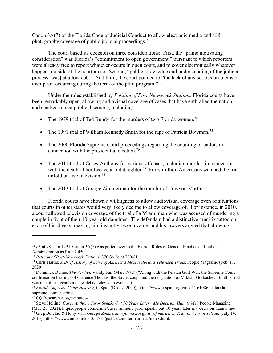Canon 3A(7) of the Florida Code of Judicial Conduct to allow electronic media and still photography coverage of public judicial proceedings.<sup>72</sup>

The court based its decision on three considerations: First, the "prime motivating consideration" was Florida's "commitment to open government," pursuant to which reporters were already free to report whatever occurs in open court, and to cover electronically whatever happens outside of the courthouse. Second, "public knowledge and understanding of the judicial process [was] at a low ebb." And third, the court pointed to "the lack of any serious problems of disruption occurring during the term of the pilot program."<sup>73</sup>

Under the rules established by *Petition of Post-Newsweek Stations*, Florida courts have been remarkably open, allowing audiovisual coverage of cases that have enthralled the nation and sparked robust public discourse, including:

- The 1979 trial of Ted Bundy for the murders of two Florida women.<sup>74</sup>
- The 1991 trial of William Kennedy Smith for the rape of Patricia Bowman.<sup>75</sup>
- The 2000 Florida Supreme Court proceedings regarding the counting of ballots in connection with the presidential election.76
- The 2011 trial of Casey Anthony for various offenses, including murder, in connection with the death of her two-year-old daughter.<sup>77</sup> Forty million Americans watched the trial unfold on live television.<sup>78</sup>
- The 2013 trial of George Zimmerman for the murder of Trayvon Martin.<sup>79</sup>

Florida courts have shown a willingness to allow audiovisual coverage even of situations that courts in other states would very likely decline to allow coverage of. For instance, in 2010, a court allowed television coverage of the trial of a Miami man who was accused of murdering a couple in front of their 10-year-old daughter. The defendant had a distinctive crucifix tattoo on each of his cheeks, making him instantly recognizable, and his lawyers argued that allowing

<sup>72</sup> *Id.* at 781. In 1994, Canon 3A(7) was ported over to the Florida Rules of General Practice and Judicial Administration as Rule 2.450.<br><sup>73</sup> Petition of Post-Newsweek Stations, 370 So.2d at 780-81.

<sup>&</sup>lt;sup>74</sup> Chris Harris, A Brief History of Some of America's Most Notorious Televised Trials, People Magazine (Feb. 11, 2020).

<sup>75</sup> Dominick Dunne, *The Verdict*, Vanity Fair (Mar. 1992) ("Along with the Persian Gulf War, the Supreme Court confirmation hearings of Clarence Thomas, the Soviet coup, and the resignation of Mikhail Gorbachev, Smith's trial was one of last year's most watched television events.").

<sup>76</sup> *Florida Supreme Court Hearing*, C-Span (Dec. 7, 2000), https://www.c-span.org/video/?161086-1/floridasupreme-court-hearing. 77 CQ Researcher, *supra* note 4.

<sup>78</sup> Steve Helling, *Casey Anthony Juror Speaks Out 10 Years Later: 'My Decision Haunts Me'*, People Magazine <sup>79</sup> Greg Botelho & Holly Van, George Zimmerman found not guilty of murder in Trayvon Martin's death (July 14, 2013), https://www.cnn.com/2013/07/13/justice/zimmerman-trial/index.html.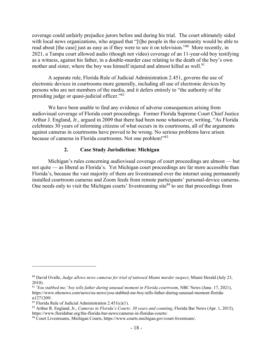coverage could unfairly prejudice jurors before and during his trial. The court ultimately sided with local news organizations, who argued that "[t]he people in the community would be able to read about [the case] just as easy as if they were to see it on television."80 More recently, in 2021, a Tampa court allowed audio (though not video) coverage of an 11-year-old boy testifying as a witness, against his father, in a double-murder case relating to the death of the boy's own mother and sister, where the boy was himself injured and almost killed as well.<sup>81</sup>

A separate rule, Florida Rule of Judicial Administration 2.451, governs the use of electronic devices in courtrooms more generally, including all use of electronic devices by persons who are not members of the media, and it defers entirely to "the authority of the presiding judge or quasi-judicial officer."82

We have been unable to find any evidence of adverse consequences arising from audiovisual coverage of Florida court proceedings. Former Florida Supreme Court Chief Justice Arthur J. England, Jr., argued in 2009 that there had been none whatsoever, writing, "As Florida celebrates 30 years of informing citizens of what occurs in its courtrooms, all of the arguments against cameras in courtrooms have proved to be wrong. No serious problems have arisen because of cameras in Florida courtrooms. Not one problem!"83

#### **2. Case Study Jurisdiction: Michigan**

Michigan's rules concerning audiovisual coverage of court proceedings are almost — but not quite — as liberal as Florida's. Yet Michigan court proceedings are far more accessible than Florida's, because the vast majority of them are livestreamed over the internet using permanently installed courtroom cameras and Zoom feeds from remote participants' personal-device cameras. One needs only to visit the Michigan courts' livestreaming site $84$  to see that proceedings from

<sup>80</sup> David Ovalle, *Judge allows news cameras for trial of tattooed Miami murder suspect*, Miami Herald (July 23, 2010).

<sup>81</sup> *'You stabbed me,' boy tells father during unusual moment in Florida courtroom*, NBC News (June. 17, 2021), https://www.nbcnews.com/news/us-news/you-stabbed-me-boy-tells-father-during-unusual-moment-floridan1271209/.

<sup>&</sup>lt;sup>82</sup> Florida Rule of Judicial Administration 2.451(c)(1).

<sup>&</sup>lt;sup>83</sup> Arthur R. England, Jr., *Cameras in Florida's Courts: 30 years and counting*, Florida Bar News (Apr. 1, 2015), https://www.floridabar.org/the-florida-bar-news/cameras-in-floridas-courts/.

<sup>&</sup>lt;sup>84</sup> Court Livestreams, Michigan Courts, https://www.courts.michigan.gov/court-livestream/.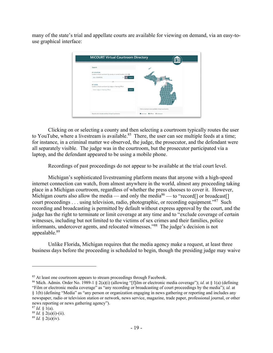many of the state's trial and appellate courts are available for viewing on demand, via an easy-touse graphical interface:

| Search                                                                                                                                   |                                                    |
|------------------------------------------------------------------------------------------------------------------------------------------|----------------------------------------------------|
| BY LOCATION<br>Locate a virtual courtroom by county or current location (click Q)<br>[ALL COUNTIES]<br>$\cdot$ 1<br>Search<br>$\epsilon$ |                                                    |
| OR<br>BY JUDGE<br>Locate a virtual courtroom by Judge or Hearing Officer<br>Search<br>Enter Judge or Hearing Officer                     |                                                    |
|                                                                                                                                          |                                                    |
|                                                                                                                                          | Click a county to see available virtual courtrooms |

Clicking on or selecting a county and then selecting a courtroom typically routes the user to YouTube, where a livestream is available.<sup>85</sup> There, the user can see multiple feeds at a time; for instance, in a criminal matter we observed, the judge, the prosecutor, and the defendant were all separately visible. The judge was in the courtroom, but the prosecutor participated via a laptop, and the defendant appeared to be using a mobile phone.

Recordings of past proceedings do not appear to be available at the trial court level.

Michigan's sophisticated livestreaming platform means that anyone with a high-speed internet connection can watch, from almost anywhere in the world, almost any proceeding taking place in a Michigan courtroom, regardless of whether the press chooses to cover it. However, Michigan courts also allow the media — and only the media<sup>86</sup> — to "record<sup>[]</sup> or broadcast<sup>[]</sup> court proceedings . . . using television, radio, photographic, or recording equipment."87 Such recording and broadcasting is permitted by default without express approval by the court, and the judge has the right to terminate or limit coverage at any time and to "exclude coverage of certain witnesses, including but not limited to the victims of sex crimes and their families, police informants, undercover agents, and relocated witnesses."88 The judge's decision is not appealable.89

Unlike Florida, Michigan requires that the media agency make a request, at least three business days before the proceeding is scheduled to begin, though the presiding judge may waive

<sup>&</sup>lt;sup>85</sup> At least one courtroom appears to stream proceedings through Facebook.

<sup>86</sup> Mich. Admin. Order No. 1989-1 § 2(a)(i) (allowing "[f]ilm or electronic media coverage"); *id.* at § 1(a) (defining "Film or electronic media coverage" as "any recording or broadcasting of court proceedings by the media"); *id.* at § 1(b) (defining "Media" as "any person or organization engaging in news gathering or reporting and includes any newspaper, radio or television station or network, news service, magazine, trade paper, professional journal, or other news reporting or news gathering agency").

<sup>87</sup> *Id.* § 1(a).<br><sup>88</sup> *Id.* § 2(a)(i)-(ii).<br><sup>89</sup> *Id.* § 2(a)(iv).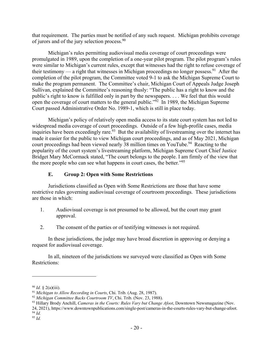that requirement. The parties must be notified of any such request. Michigan prohibits coverage of jurors and of the jury selection process.<sup>90</sup>

Michigan's rules permitting audiovisual media coverage of court proceedings were promulgated in 1989, upon the completion of a one-year pilot program. The pilot program's rules were similar to Michigan's current rules, except that witnesses had the right to refuse coverage of their testimony — a right that witnesses in Michigan proceedings no longer possess.<sup>91</sup> After the completion of the pilot program, the Committee voted 9-1 to ask the Michigan Supreme Court to make the program permanent. The Committee's chair, Michigan Court of Appeals Judge Joseph Sullivan, explained the Committee's reasoning thusly: "The public has a right to know and the public's right to know is fulfilled only in part by the newspapers. . . . We feel that this would open the coverage of court matters to the general public."92 In 1989, the Michigan Supreme Court passed Administrative Order No. 1989-1, which is still in place today.

Michigan's policy of relatively open media access to its state court system has not led to widespread media coverage of court proceedings. Outside of a few high-profile cases, media inquiries have been exceedingly rare.<sup>93</sup> But the availability of livestreaming over the internet has made it easier for the public to view Michigan court proceedings, and as of May 2021, Michigan court proceedings had been viewed nearly 38 million times on YouTube.<sup>94</sup> Reacting to the popularity of the court system's livestreaming platform, Michigan Supreme Court Chief Justice Bridget Mary McCormack stated, "The court belongs to the people. I am firmly of the view that the more people who can see what happens in court cases, the better."<sup>95</sup>

#### **E. Group 2: Open with Some Restrictions**

Jurisdictions classified as Open with Some Restrictions are those that have some restrictive rules governing audiovisual coverage of courtroom proceedings. These jurisdictions are those in which:

- 1. Audiovisual coverage is not presumed to be allowed, but the court may grant approval.
- 2. The consent of the parties or of testifying witnesses is not required.

In these jurisdictions, the judge may have broad discretion in approving or denying a request for audiovisual coverage.

In all, nineteen of the jurisdictions we surveyed were classified as Open with Some Restrictions:

<sup>&</sup>lt;sup>90</sup> Id. § 2(a)(iii).<br><sup>91</sup> Michigan to Allow Recording in Courts, Chi. Trib. (Aug. 28, 1987).<br><sup>92</sup> Michigan Committee Backs Courtroom TV, Chi. Trib. (Nov. 23, 1988).<br><sup>93</sup> Hillary Brody Anchill, *Cameras in the Courts: Rule* 

<sup>24, 2021),</sup> https://www.downtownpublications.com/single-post/cameras-in-the-courts-rules-vary-but-change-afoot. 94 *Id.*

<sup>95</sup> *Id.*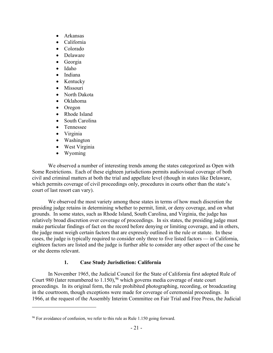- Arkansas
- California
- Colorado
- Delaware
- Georgia
- Idaho
- Indiana
- Kentucky
- Missouri
- North Dakota
- Oklahoma
- Oregon
- Rhode Island
- South Carolina
- Tennessee
- Virginia
- Washington
- West Virginia
- Wyoming

1

We observed a number of interesting trends among the states categorized as Open with Some Restrictions. Each of these eighteen jurisdictions permits audiovisual coverage of both civil and criminal matters at both the trial and appellate level (though in states like Delaware, which permits coverage of civil proceedings only, procedures in courts other than the state's court of last resort can vary).

We observed the most variety among these states in terms of how much discretion the presiding judge retains in determining whether to permit, limit, or deny coverage, and on what grounds. In some states, such as Rhode Island, South Carolina, and Virginia, the judge has relatively broad discretion over coverage of proceedings. In six states, the presiding judge must make particular findings of fact on the record before denying or limiting coverage, and in others, the judge must weigh certain factors that are expressly outlined in the rule or statute. In these cases, the judge is typically required to consider only three to five listed factors — in California, eighteen factors are listed and the judge is further able to consider any other aspect of the case he or she deems relevant.

#### **1. Case Study Jurisdiction: California**

In November 1965, the Judicial Council for the State of California first adopted Rule of Court 980 (later renumbered to  $1.150$ ),  $96$  which governs media coverage of state court proceedings. In its original form, the rule prohibited photographing, recording, or broadcasting in the courtroom, though exceptions were made for coverage of ceremonial proceedings. In 1966, at the request of the Assembly Interim Committee on Fair Trial and Free Press, the Judicial

 $96$  For avoidance of confusion, we refer to this rule as Rule 1.150 going forward.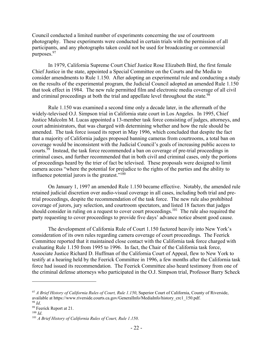Council conducted a limited number of experiments concerning the use of courtroom photography. These experiments were conducted in certain trials with the permission of all participants, and any photographs taken could not be used for broadcasting or commercial purposes.97

In 1979, California Supreme Court Chief Justice Rose Elizabeth Bird, the first female Chief Justice in the state, appointed a Special Committee on the Courts and the Media to consider amendments to Rule 1.150. After adopting an experimental rule and conducting a study on the results of the experimental program, the Judicial Council adopted an amended Rule 1.150 that took effect in 1984. The new rule permitted film and electronic media coverage of all civil and criminal proceedings at both the trial and appellate level throughout the state.<sup>98</sup>

Rule 1.150 was examined a second time only a decade later, in the aftermath of the widely-televised O.J. Simpson trial in California state court in Los Angeles. In 1995, Chief Justice Malcolm M. Lucas appointed a 13-member task force consisting of judges, attorneys, and court administrators, that was charged with determining whether and how the rule should be amended. The task force issued its report in May 1996, which concluded that despite the fact that a majority of California judges proposed banning cameras from courtrooms, a total ban on coverage would be inconsistent with the Judicial Council's goals of increasing public access to courts.99 Instead, the task force recommended a ban on coverage of pre-trial proceedings in criminal cases, and further recommended that in both civil and criminal cases, only the portions of proceedings heard by the trier of fact be televised. These proposals were designed to limit camera access "where the potential for prejudice to the rights of the parties and the ability to influence potential jurors is the greatest." $100$ 

On January 1, 1997 an amended Rule 1.150 became effective. Notably, the amended rule retained judicial discretion over audio-visual coverage in all cases, including both trial and pretrial proceedings, despite the recommendation of the task force. The new rule also prohibited coverage of jurors, jury selection, and courtroom spectators, and listed 18 factors that judges should consider in ruling on a request to cover court proceedings.<sup>101</sup> The rule also required the party requesting to cover proceedings to provide five days' advance notice absent good cause.

The development of California Rule of Court 1.150 factored heavily into New York's consideration of its own rules regarding camera coverage of court proceedings. The Feerick Committee reported that it maintained close contact with the California task force charged with evaluating Rule 1.150 from 1995 to 1996. In fact, the Chair of the California task force, Associate Justice Richard D. Huffman of the California Court of Appeal, flew to New York to testify at a hearing held by the Feerick Committee in 1996, a few months after the California task force had issued its recommendation. The Feerick Committee also heard testimony from one of the criminal defense attorneys who participated in the O.J. Simpson trial, Professor Barry Scheck

<sup>97</sup> *A Brief History of California Rules of Court, Rule 1.150*, Superior Court of California, County of Riverside, available at https://www.riverside.courts.ca.gov/GeneralInfo/MediaInfo/history\_crc1\_150.pdf. 98 *Id.* 99 Feerick Report at 21. 100 *Id* 

<sup>&</sup>lt;sup>101</sup> *A Brief History of California Rules of Court, Rule 1.150.*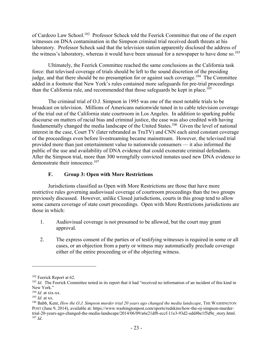of Cardozo Law School.102 Professor Scheck told the Feerick Committee that one of the expert witnesses on DNA contamination in the Simpson criminal trial received death threats at his laboratory. Professor Scheck said that the television station apparently disclosed the address of the witness's laboratory, whereas it would have been unusual for a newspaper to have done so.<sup>103</sup>

Ultimately, the Feerick Committee reached the same conclusions as the California task force: that televised coverage of trials should be left to the sound discretion of the presiding judge, and that there should be no presumption for or against such coverage.<sup>104</sup> The Committee added in a footnote that New York's rules contained more safeguards for pre-trial proceedings than the California rule, and recommended that those safeguards be kept in place.<sup>105</sup>

The criminal trial of O.J. Simpson in 1995 was one of the most notable trials to be broadcast on television. Millions of Americans nationwide tuned in to cable television coverage of the trial out of the California state courtroom in Los Angeles. In addition to sparking public discourse on matters of racial bias and criminal justice, the case was also credited with having fundamentally changed the media landscape of the United States.<sup>106</sup> Given the level of national interest in the case, Court TV (later rebranded as TruTV) and CNN each aired constant coverage of the proceedings even before livestreaming became mainstream. However, the televised trial provided more than just entertainment value to nationwide consumers — it also informed the public of the use and availability of DNA evidence that could exonerate criminal defendants. After the Simpson trial, more than 300 wrongfully convicted inmates used new DNA evidence to demonstrate their innocence.<sup>107</sup>

#### **F. Group 3: Open with More Restrictions**

Jurisdictions classified as Open with More Restrictions are those that have more restrictive rules governing audiovisual coverage of courtroom proceedings than the two groups previously discussed. However, unlike Closed jurisdictions, courts in this group tend to allow some camera coverage of state court proceedings. Open with More Restrictions jurisdictions are those in which:

- 1. Audiovisual coverage is not presumed to be allowed, but the court may grant approval.
- 2. The express consent of the parties or of testifying witnesses is required in some or all cases, or an objection from a party or witness may automatically preclude coverage either of the entire proceeding or of the objecting witness.

<sup>&</sup>lt;sup>102</sup> Feerick Report at 62.<br><sup>103</sup> *Id*. The Feerick Committee noted in its report that it had "received no information of an incident of this kind in New York."<br> $104$  *Id.* at xix-xx.

<sup>&</sup>lt;sup>105</sup> *Id*. at xx.<br><sup>106</sup> Babb, Kent, *How the O.J. Simpson murder trial 20 years ago changed the media landscape, THE WASHINGTON* POST (June 9, 2014), available at: https://www.washingtonpost.com/sports/redskins/how-the-oj-simpson-murdertrial-20-years-ago-changed-the-media-landscape/2014/06/09/a6e21df8-eccf-11e3-93d2-edd4be1f5d9e\_story.html. <sup>107</sup> *Id*.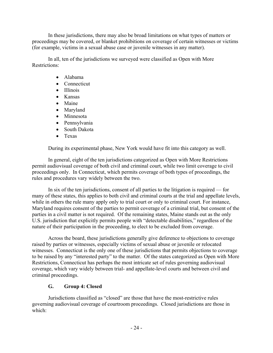In these jurisdictions, there may also be broad limitations on what types of matters or proceedings may be covered, or blanket prohibitions on coverage of certain witnesses or victims (for example, victims in a sexual abuse case or juvenile witnesses in any matter).

In all, ten of the jurisdictions we surveyed were classified as Open with More Restrictions:

- Alabama
- Connecticut
- Illinois
- Kansas
- Maine
- Maryland
- Minnesota
- Pennsylvania
- South Dakota
- Texas

During its experimental phase, New York would have fit into this category as well.

In general, eight of the ten jurisdictions categorized as Open with More Restrictions permit audiovisual coverage of both civil and criminal court, while two limit coverage to civil proceedings only. In Connecticut, which permits coverage of both types of proceedings, the rules and procedures vary widely between the two.

In six of the ten jurisdictions, consent of all parties to the litigation is required — for many of these states, this applies to both civil and criminal courts at the trial and appellate levels, while in others the rule many apply only to trial court or only to criminal court. For instance, Maryland requires consent of the parties to permit coverage of a criminal trial, but consent of the parties in a civil matter is not required. Of the remaining states, Maine stands out as the only U.S. jurisdiction that explicitly permits people with "detectable disabilities," regardless of the nature of their participation in the proceeding, to elect to be excluded from coverage.

Across the board, these jurisdictions generally give deference to objections to coverage raised by parties or witnesses, especially victims of sexual abuse or juvenile or relocated witnesses. Connecticut is the only one of these jurisdictions that permits objections to coverage to be raised by any "interested party" to the matter. Of the states categorized as Open with More Restrictions, Connecticut has perhaps the most intricate set of rules governing audiovisual coverage, which vary widely between trial- and appellate-level courts and between civil and criminal proceedings.

#### **G. Group 4: Closed**

Jurisdictions classified as "closed" are those that have the most-restrictive rules governing audiovisual coverage of courtroom proceedings. Closed jurisdictions are those in which: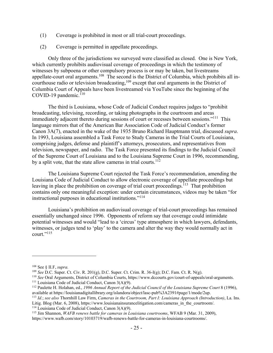- (1) Coverage is prohibited in most or all trial-court proceedings.
- (2) Coverage is permitted in appellate proceedings.

Only three of the jurisdictions we surveyed were classified as closed. One is New York, which currently prohibits audiovisual coverage of proceedings in which the testimony of witnesses by subpoena or other compulsory process is or may be taken, but livestreams appellate-court oral arguments.<sup>108</sup> The second is the District of Columbia, which prohibits all incourthouse radio or television broadcasting,  $109$  except that oral arguments in the District of Columbia Court of Appeals have been livestreamed via YouTube since the beginning of the COVID-19 pandemic. $110$ 

The third is Louisiana, whose Code of Judicial Conduct requires judges to "prohibit broadcasting, televising, recording, or taking photographs in the courtroom and areas immediately adjacent thereto during sessions of court or recesses between sessions."111 This language mirrors that of the American Bar Association Code of Judicial Conduct's former Canon 3A(7), enacted in the wake of the 1935 Bruno Richard Hauptmann trial, discussed *supra*. In 1993, Louisiana assembled a Task Force to Study Cameras in the Trial Courts of Louisiana, comprising judges, defense and plaintiff's attorneys, prosecutors, and representatives from television, newspaper, and radio. The Task Force presented its findings to the Judicial Council of the Supreme Court of Louisiana and to the Louisiana Supreme Court in 1996, recommending, by a split vote, that the state allow cameras in trial courts.<sup>112</sup>

The Louisiana Supreme Court rejected the Task Force's recommendation, amending the Louisiana Code of Judicial Conduct to allow electronic coverage of appellate proceedings but leaving in place the prohibition on coverage of trial court proceedings.<sup>113</sup> That prohibition contains only one meaningful exception: under certain circumstances, videos may be taken "for instructional purposes in educational institutions."<sup>114</sup>

Louisiana's prohibition on audiovisual coverage of trial-court proceedings has remained essentially unchanged since 1996. Opponents of reform say that coverage could intimidate potential witnesses and would "lead to a 'circus' type atmosphere in which lawyers, defendants, witnesses, or judges tend to 'play' to the camera and alter the way they would normally act in court." $^{115}$ 

<sup>&</sup>lt;sup>108</sup> See § II.F, *supra.*<br><sup>109</sup> See D.C. Super. Ct. Civ. R. 201(g), D.C. Super. Ct. Crim. R. 36-I(g); D.C. Fam. Ct. R. N(g).

<sup>&</sup>lt;sup>110</sup> See Oral Arguments, District of Columbia Courts, https://www.dccourts.gov/court-of-appeals/oral-arguments.<br><sup>111</sup> Louisiana Code of Judicial Conduct, Canon 3(A)(9).<br><sup>112</sup> Paulette H. Holahan, ed., 1996 Annual Report

 $^{113}$  Id.; see also Thornhill Law Firm, Cameras in the Courtroom, Part I: Louisiana Approach (Introduction), La. Ins. Litig. Blog (Mar. 6, 2008), https://www.louisianainsurancelitigation.com/cameras\_in\_the\_courtroom/.<br><sup>114</sup> Louisiana Code of Judicial Conduct, Canon 3(A)(9).<br><sup>115</sup> Jim Shannon, *WAFB renews battle for cameras in Louisiana c* 

https://www.wafb.com/story/10103719/wafb-renews-battle-for-cameras-in-louisiana-courtrooms/.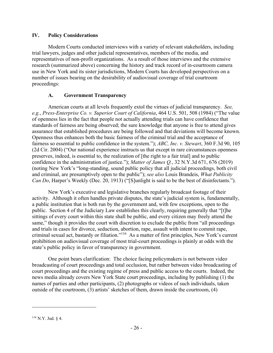#### **IV. Policy Considerations**

Modern Courts conducted interviews with a variety of relevant stakeholders, including trial lawyers, judges and other judicial representatives, members of the media, and representatives of non-profit organizations. As a result of those interviews and the extensive research (summarized above) concerning the history and track record of in-courtroom camera use in New York and its sister jurisdictions, Modern Courts has developed perspectives on a number of issues bearing on the desirability of audiovisual coverage of trial courtroom proceedings:

#### **A. Government Transparency**

American courts at all levels frequently extol the virtues of judicial transparency. *See, e.g.*, *Press-Enterprise Co. v. Superior Court of California*, 464 U.S. 501, 508 (1984) ("The value of openness lies in the fact that people not actually attending trials can have confidence that standards of fairness are being observed; the sure knowledge that anyone is free to attend gives assurance that established procedures are being followed and that deviations will become known. Openness thus enhances both the basic fairness of the criminal trial and the acceptance of fairness so essential to public confidence in the system."); *ABC, Inc. v. Stewart*, 360 F.3d 90, 105 (2d Cir. 2004) ("Our national experience instructs us that except in rare circumstances openness preserves, indeed, is essential to, the realization of [the right to a fair trial] and to public confidence in the administration of justice."); *Matter of James Q.*, 32 N.Y.3d 671, 676 (2019) (noting New York's "long-standing, sound public policy that all judicial proceedings, both civil and criminal, are presumptively open to the public"); *see also* Louis Brandeis, *What Publicity Can Do*, Harper's Weekly (Dec. 20, 1913) ("[S]unlight is said to be the best of disinfectants.").

New York's executive and legislative branches regularly broadcast footage of their activity. Although it often handles private disputes, the state's judicial system is, fundamentally, a public institution that is both run by the government and, with few exceptions, open to the public. Section 4 of the Judiciary Law establishes this clearly, requiring generally that "[t]he sittings of every court within this state shall be public, and every citizen may freely attend the same," though it provides the court with discretion to exclude the public from "all proceedings" and trials in cases for divorce, seduction, abortion, rape, assault with intent to commit rape, criminal sexual act, bastardy or filiation."116 As a matter of first principles, New York's current prohibition on audiovisual coverage of most trial-court proceedings is plainly at odds with the state's public policy in favor of transparency in government.

One point bears clarification: The choice facing policymakers is not between video broadcasting of court proceedings and total occlusion, but rather between video broadcasting of court proceedings and the existing regime of press and public access to the courts. Indeed, the news media already covers New York State court proceedings, including by publishing (1) the names of parties and other participants, (2) photographs or videos of such individuals, taken outside of the courtroom, (3) artists' sketches of them, drawn inside the courtroom, (4)

<sup>116</sup> N.Y. Jud. § 4.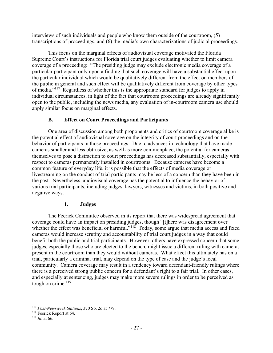interviews of such individuals and people who know them outside of the courtroom, (5) transcriptions of proceedings, and (6) the media's own characterizations of judicial proceedings.

This focus on the marginal effects of audiovisual coverage motivated the Florida Supreme Court's instructions for Florida trial court judges evaluating whether to limit camera coverage of a proceeding: "The presiding judge may exclude electronic media coverage of a particular participant only upon a finding that such coverage will have a substantial effect upon the particular individual which would be qualitatively different from the effect on members of the public in general and such effect will be qualitatively different from coverage by other types of media."117 Regardless of whether this is the appropriate standard for judges to apply in individual circumstances, in light of the fact that courtroom proceedings are already significantly open to the public, including the news media, any evaluation of in-courtroom camera use should apply similar focus on marginal effects.

#### **B. Effect on Court Proceedings and Participants**

One area of discussion among both proponents and critics of courtroom coverage alike is the potential effect of audiovisual coverage on the integrity of court proceedings and on the behavior of participants in those proceedings. Due to advances in technology that have made cameras smaller and less obtrusive, as well as more commonplace, the potential for cameras themselves to pose a distraction to court proceedings has decreased substantially, especially with respect to cameras permanently installed in courtrooms. Because cameras have become a common feature of everyday life, it is possible that the effects of media coverage or livestreaming on the conduct of trial participants may be less of a concern than they have been in the past. Nevertheless, audiovisual coverage has the potential to influence the behavior of various trial participants, including judges, lawyers, witnesses and victims, in both positive and negative ways.

#### **1. Judges**

The Feerick Committee observed in its report that there was widespread agreement that coverage could have an impact on presiding judges, though "[t]here was disagreement over whether the effect was beneficial or harmful."<sup>118</sup> Today, some argue that media access and fixed cameras would increase scrutiny and accountability of trial court judges in a way that could benefit both the public and trial participants. However, others have expressed concern that some judges, especially those who are elected to the bench, might issue a different ruling with cameras present in the courtroom than they would without cameras. What effect this ultimately has on a trial, particularly a criminal trial, may depend on the type of case and the judge's local community. Camera coverage may result in a tendency toward defendant-friendly rulings where there is a perceived strong public concern for a defendant's right to a fair trial. In other cases, and especially at sentencing, judges may make more severe rulings in order to be perceived as tough on crime. $119$ 

<sup>117</sup> *Post-Newsweek Stations*, 370 So. 2d at 779. 118 Feerick Report at 64. 119 *Id*. at 66.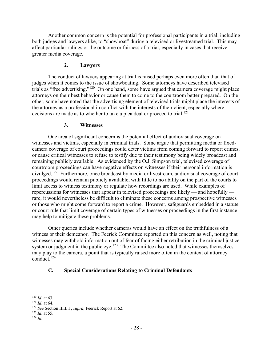Another common concern is the potential for professional participants in a trial, including both judges and lawyers alike, to "showboat" during a televised or livestreamed trial. This may affect particular rulings or the outcome or fairness of a trial, especially in cases that receive greater media coverage.

#### **2. Lawyers**

The conduct of lawyers appearing at trial is raised perhaps even more often than that of judges when it comes to the issue of showboating. Some attorneys have described televised trials as "free advertising."<sup>120</sup> On one hand, some have argued that camera coverage might place attorneys on their best behavior or cause them to come to the courtroom better prepared. On the other, some have noted that the advertising element of televised trials might place the interests of the attorney as a professional in conflict with the interests of their client, especially where decisions are made as to whether to take a plea deal or proceed to trial.<sup>121</sup>

#### **3. Witnesses**

One area of significant concern is the potential effect of audiovisual coverage on witnesses and victims, especially in criminal trials. Some argue that permitting media or fixedcamera coverage of court proceedings could deter victims from coming forward to report crimes, or cause critical witnesses to refuse to testify due to their testimony being widely broadcast and remaining publicly available. As evidenced by the O.J. Simpson trial, televised coverage of courtroom proceedings can have negative effects on witnesses if their personal information is divulged.<sup>122</sup> Furthermore, once broadcast by media or livestream, audiovisual coverage of court proceedings would remain publicly available, with little to no ability on the part of the courts to limit access to witness testimony or regulate how recordings are used. While examples of repercussions for witnesses that appear in televised proceedings are likely — and hopefully rare, it would nevertheless be difficult to eliminate these concerns among prospective witnesses or those who might come forward to report a crime. However, safeguards embedded in a statute or court rule that limit coverage of certain types of witnesses or proceedings in the first instance may help to mitigate these problems.

Other queries include whether cameras would have an effect on the truthfulness of a witness or their demeanor. The Feerick Committee reported on this concern as well, noting that witnesses may withhold information out of fear of facing either retribution in the criminal justice system or judgment in the public eye.<sup>123</sup> The Committee also noted that witnesses themselves may play to the camera, a point that is typically raised more often in the context of attorney conduct.124

#### **C. Special Considerations Relating to Criminal Defendants**

<sup>1&</sup>lt;sup>20</sup> *Id.* at 63.<br>
<sup>121</sup> *Id.* at 64.<br>
<sup>122</sup> *See* Section III.E.1, *supra*; Feerick Report at 62.<br>
<sup>123</sup> *Id.* at 55.<br>
<sup>124</sup> *Id.*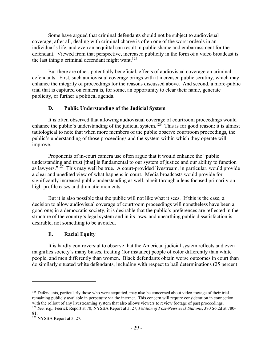Some have argued that criminal defendants should not be subject to audiovisual coverage; after all, dealing with criminal charge is often one of the worst ordeals in an individual's life, and even an acquittal can result in public shame and embarrassment for the defendant. Viewed from that perspective, increased publicity in the form of a video broadcast is the last thing a criminal defendant might want.<sup>125</sup>

But there are other, potentially beneficial, effects of audiovisual coverage on criminal defendants. First, such audiovisual coverage brings with it increased public scrutiny, which may enhance the integrity of proceedings for the reasons discussed above. And second, a more-public trial that is captured on camera is, for some, an opportunity to clear their name, generate publicity, or further a political agenda.

#### **D. Public Understanding of the Judicial System**

It is often observed that allowing audiovisual coverage of courtroom proceedings would enhance the public's understanding of the judicial system.<sup>126</sup> This is for good reason: it is almost tautological to note that when more members of the public observe courtroom proceedings, the public's understanding of those proceedings and the system within which they operate will improve.

Proponents of in-court camera use often argue that it would enhance the "public understanding and trust [that] is fundamental to our system of justice and our ability to function as lawyers."127 This may well be true. A court-provided livestream, in particular, would provide a clear and unedited view of what happens in court. Media broadcasts would provide for significantly increased public understanding as well, albeit through a lens focused primarily on high-profile cases and dramatic moments.

But it is also possible that the public will not like what it sees. If this is the case, a decision to allow audiovisual coverage of courtroom proceedings will nonetheless have been a good one; in a democratic society, it is desirable that the public's preferences are reflected in the structure of the country's legal system and in its laws, and unearthing public dissatisfaction is desirable, not something to be avoided.

#### **E. Racial Equity**

It is hardly controversial to observe that the American judicial system reflects and even magnifies society's many biases, treating (for instance) people of color differently than white people, and men differently than women. Black defendants obtain worse outcomes in court than do similarly situated white defendants, including with respect to bail determinations (25 percent

<sup>125</sup> Defendants, particularly those who were acquitted, may also be concerned about video footage of their trial remaining publicly available in perpetuity via the internet. This concern will require consideration in connection with the rollout of any livestreaming system that also allows viewers to review footage of past proceedings.<br><sup>126</sup> See, e.g., Feerick Report at 70; NYSBA Report at 3, 27; *Petition of Post-Newsweek Stations*, 370 So.2d at

<sup>81.</sup> 

<sup>127</sup> NYSBA Report at 3, 27.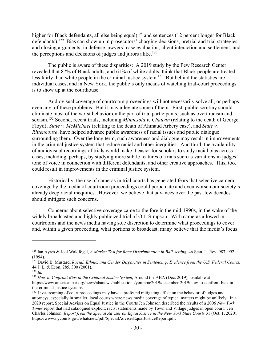higher for Black defendants, all else being equal)<sup>128</sup> and sentences (12 percent longer for Black defendants).<sup>129</sup> Bias can show up in prosecutors' charging decisions, pretrial and trial strategies, and closing arguments; in defense lawyers' case evaluation, client interaction and settlement; and the perceptions and decisions of judges and jurors alike. $130$ 

The public is aware of these disparities: A 2019 study by the Pew Research Center revealed that 87% of Black adults, and 61% of white adults, think that Black people are treated less fairly than white people in the criminal justice system.<sup>131</sup> But behind the statistics are individual cases, and in New York, the public's only means of watching trial-court proceedings is to show up at the courthouse.

Audiovisual coverage of courtroom proceedings will not necessarily solve all, or perhaps even any, of these problems. But it may alleviate some of them. First, public scrutiny should eliminate most of the worst behavior on the part of trial participants, such as overt racism and sexism.132 Second, recent trials, including *Minnesota v. Chauvin* (relating to the death of George Floyd), *State v. McMichael* (relating to the death of Ahmaud Arbery case), and *State v. Rittenhouse*, have helped advance public awareness of racial issues and public dialogue surrounding them. Over the long term, such awareness and dialogue may result in improvements in the criminal justice system that reduce racial and other inequities. And third, the availability of audiovisual recordings of trials would make it easier for scholars to study racial bias across cases, including, perhaps, by studying more subtle features of trials such as variations in judges' tone of voice in connection with different defendants, and other creative approaches. This, too, could result in improvements in the criminal justice system.

Historically, the use of cameras in trial courts has generated fears that selective camera coverage by the media of courtroom proceedings could perpetuate and even worsen our society's already deep racial inequities. However, we believe that advances over the past few decades should mitigate such concerns.

Concerns about selective coverage came to the fore in the mid-1990s, in the wake of the widely broadcasted and highly publicized trial of O.J. Simpson. With cameras allowed in courtrooms and the news media having sole discretion to determine what proceedings to cover and, within a given proceeding, what portions to broadcast, many believe that the media's focus

<sup>128</sup> Ian Ayres & Joel Waldfogel, *A Market Test for Race Discrimination in Bail Setting*, 46 Stan. L. Rev. 987, 992 (1994).

<sup>129</sup> David B. Mustard, *Racial, Ethnic, and Gender Disparities in Sentencing: Evidence from the U.S. Federal Courts*, 44 J. L. & Econ. 285, 300 (2001).

 $130$  *Id.* 

<sup>131</sup> *How to Confront Bias in the Criminal Justice System*, Around the ABA (Dec. 2019), available at https://www.americanbar.org/news/abanews/publications/youraba/2019/december-2019/how-to-confront-bias-inthe-criminal-justice-system/.

<sup>&</sup>lt;sup>132</sup> Livestreaming of court proceedings may have a profound mitigating effect on the behavior of judges and attorneys, especially in smaller, local courts where news media coverage of typical matters might be unlikely. In a 2020 report, Special Adviser on Equal Justice in the Courts Jeh Johnson described the results of a 2006 *New York Times* report that had catalogued explicit, racist statements made by Town and Village judges in open court. Jeh Charles Johnson, *Report from the Special Adviser on Equal Justice in the New York State Courts* 31 (Oct. 1, 2020), https://www.nycourts.gov/whatsnew/pdf/SpecialAdviserEqualJusticeReport.pdf.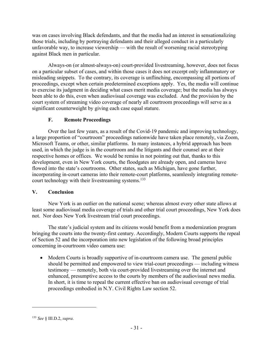was on cases involving Black defendants, and that the media had an interest in sensationalizing those trials, including by portraying defendants and their alleged conduct in a particularly unfavorable way, to increase viewership — with the result of worsening racial stereotyping against Black men in particular.

Always-on (or almost-always-on) court-provided livestreaming, however, does not focus on a particular subset of cases, and within those cases it does not excerpt only inflammatory or misleading snippets. To the contrary, its coverage is unflinching, encompassing all portions of proceedings, except when certain predetermined exceptions apply. Yes, the media will continue to exercise its judgment in deciding what cases merit media coverage; but the media has always been able to do this, even when audiovisual coverage was excluded. And the provision by the court system of streaming video coverage of nearly all courtroom proceedings will serve as a significant counterweight by giving each case equal stature.

#### **F. Remote Proceedings**

Over the last few years, as a result of the Covid-19 pandemic and improving technology, a large proportion of "courtroom" proceedings nationwide have taken place remotely, via Zoom, Microsoft Teams, or other, similar platforms. In many instances, a hybrid approach has been used, in which the judge is in the courtroom and the litigants and their counsel are at their respective homes or offices. We would be remiss in not pointing out that, thanks to this development, even in New York courts, the floodgates are already open, and cameras have flowed into the state's courtrooms. Other states, such as Michigan, have gone further, incorporating in-court cameras into their remote-court platforms, seamlessly integrating remotecourt technology with their livestreaming systems.<sup>133</sup>

#### **V. Conclusion**

New York is an outlier on the national scene; whereas almost every other state allows at least some audiovisual media coverage of trials and other trial court proceedings, New York does not. Nor does New York livestream trial court proceedings.

The state's judicial system and its citizens would benefit from a modernization program bringing the courts into the twenty-first century. Accordingly, Modern Courts supports the repeal of Section 52 and the incorporation into new legislation of the following broad principles concerning in-courtroom video camera use:

 Modern Courts is broadly supportive of in-courtroom camera use. The general public should be permitted and empowered to view trial-court proceedings — including witness testimony — remotely, both via court-provided livestreaming over the internet and enhanced, presumptive access to the courts by members of the audiovisual news media. In short, it is time to repeal the current effective ban on audiovisual coverage of trial proceedings embodied in N.Y. Civil Rights Law section 52.

<sup>133</sup> *See* § III.D.2, *supra*.